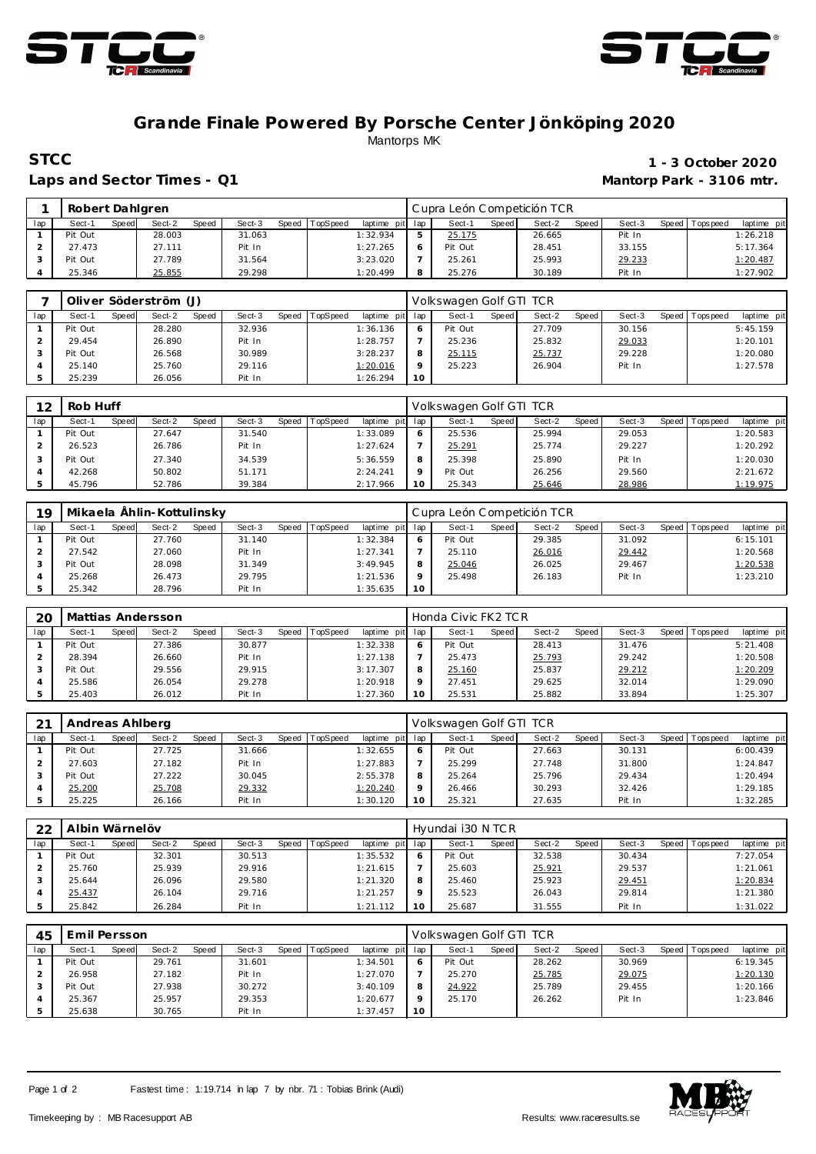



## **Grande Finale Powered By Porsche Center Jönköping 2020** Mantorps MK

## **STCC** 1 - 3 October 2020 Laps and Sector Times - Q1 **Mantorp Park - 3106 mtr.**

|     | Robert Dahlgren |       |        |       |        |       |          |                 |   | Cupra León Competición TCR |       |        |       |        |                   |             |
|-----|-----------------|-------|--------|-------|--------|-------|----------|-----------------|---|----------------------------|-------|--------|-------|--------|-------------------|-------------|
| lap | Sect-1          | Speed | Sect-2 | Speed | Sect-3 | Speed | TopSpeed | laptime pit lap |   | Sect-1                     | Speed | Sect-2 | Speed | Sect-3 | Speed   Tops peed | laptime pit |
|     | Pit Out         |       | 28.003 |       | 31.063 |       |          | 1:32.934        |   | 25.175                     |       | 26.665 |       | Pit In |                   | 1:26.218    |
|     | 27.473          |       | 27.111 |       | Pit In |       |          | 1:27.265        | 6 | Pit Out                    |       | 28.451 |       | 33.155 |                   | 5:17.364    |
|     | Pit Out         |       | 27.789 |       | 31.564 |       |          | 3:23.020        |   | 25.261                     |       | 25.993 |       | 29.233 |                   | 1:20.487    |
|     | 25.346          |       | 25.855 |       | 29.298 |       |          | 1:20.499        | 8 | 25.276                     |       | 30.189 |       | Pit In |                   | 1:27.902    |

|     | Oliver Söderström (J) |       |        |       |        |       |          |                 |    | Volkswagen Golf GTI TCR |              |        |       |        |                |             |
|-----|-----------------------|-------|--------|-------|--------|-------|----------|-----------------|----|-------------------------|--------------|--------|-------|--------|----------------|-------------|
| lap | Sect-1                | Speed | Sect-2 | Speed | Sect-3 | Speed | TopSpeed | laptime pit lap |    | Sect-1                  | <b>Speed</b> | Sect-2 | Speed | Sect-3 | Speed Topspeed | laptime pit |
|     | Pit Out               |       | 28.280 |       | 32.936 |       |          | 1:36.136        |    | Pit Out                 |              | 27.709 |       | 30.156 |                | 5:45.159    |
|     | 29.454                |       | 26.890 |       | Pit In |       |          | 1:28.757        |    | 25.236                  |              | 25.832 |       | 29.033 |                | 1:20.101    |
|     | Pit Out               |       | 26.568 |       | 30.989 |       |          | 3:28.237        |    | 25.115                  |              | 25.737 |       | 29.228 |                | 1:20.080    |
|     | 25.140                |       | 25.760 |       | 29.116 |       |          | 1:20.016        |    | 25.223                  |              | 26.904 |       | Pit In |                | 1:27.578    |
|     | 25.239                |       | 26.056 |       | Pit In |       |          | 1:26.294        | 10 |                         |              |        |       |        |                |             |

| 12  | Rob Huff |       |        |       |        |       |                 |                 |    | Volkswagen Golf GTI TCR |       |        |       |        |                 |             |
|-----|----------|-------|--------|-------|--------|-------|-----------------|-----------------|----|-------------------------|-------|--------|-------|--------|-----------------|-------------|
| lap | Sect-1   | Speed | Sect-2 | Speed | Sect-3 | Speed | <b>TopSpeed</b> | laptime pit lap |    | Sect-1                  | Speed | Sect-2 | Speed | Sect-3 | Speed Tops peed | laptime pit |
|     | Pit Out  |       | 27.647 |       | 31.540 |       |                 | 1:33.089        |    | 25.536                  |       | 25.994 |       | 29.053 |                 | 1:20.583    |
|     | 26.523   |       | 26.786 |       | Pit In |       |                 | 1:27.624        |    | 25.291                  |       | 25.774 |       | 29.227 |                 | 1:20.292    |
|     | Pit Out  |       | 27.340 |       | 34.539 |       |                 | 5:36.559        | 8  | 25.398                  |       | 25.890 |       | Pit In |                 | 1:20.030    |
|     | 42.268   |       | 50.802 |       | 51.171 |       |                 | 2:24.241        |    | Pit Out                 |       | 26.256 |       | 29.560 |                 | 2:21.672    |
|     | 45.796   |       | 52.786 |       | 39.384 |       |                 | 2:17.966        | 10 | 25.343                  |       | 25.646 |       | 28.986 |                 | 1:19.975    |

| 10  |         |       | Mikaela Ählin-Kottulinsky |       |        |       |          |             |                 | Cupra León Competición TCR |       |        |       |        |       |            |             |
|-----|---------|-------|---------------------------|-------|--------|-------|----------|-------------|-----------------|----------------------------|-------|--------|-------|--------|-------|------------|-------------|
| lap | Sect-1  | Speed | Sect-2                    | Speed | Sect-3 | Speed | TopSpeed | laptime pit | lap             | Sect-1                     | Speed | Sect-2 | Speed | Sect-3 | Speed | Tops pee d | laptime pit |
|     | Pit Out |       | 27.760                    |       | 31.140 |       |          | 1:32.384    | 6               | Pit Out                    |       | 29.385 |       | 31.092 |       |            | 6:15.101    |
|     | 27.542  |       | 27.060                    |       | Pit In |       |          | 1:27.341    |                 | 25.110                     |       | 26.016 |       | 29.442 |       |            | 1:20.568    |
|     | Pit Out |       | 28.098                    |       | 31.349 |       |          | 3:49.945    | 8               | 25.046                     |       | 26.025 |       | 29.467 |       |            | 1:20.538    |
|     | 25.268  |       | 26.473                    |       | 29.795 |       |          | 1:21.536    | $\circ$         | 25.498                     |       | 26.183 |       | Pit In |       |            | 1:23.210    |
|     | 25.342  |       | 28.796                    |       | Pit In |       |          | 1:35.635    | 10 <sup>°</sup> |                            |       |        |       |        |       |            |             |

| 20  |         |       | Mattias Andersson |       |        |       |          |             |         | Honda Civic FK2 TC R |              |        |       |        |       |           |             |
|-----|---------|-------|-------------------|-------|--------|-------|----------|-------------|---------|----------------------|--------------|--------|-------|--------|-------|-----------|-------------|
| lap | Sect-1  | Speed | Sect-2            | Speed | Sect-3 | Speed | TopSpeed | laptime pit | lap     | Sect-                | <b>Speed</b> | Sect-2 | Speed | Sect-3 | Speed | Tops peed | laptime pit |
|     | Pit Out |       | 27.386            |       | 30.877 |       |          | 1:32.338    | 6       | Pit Out              |              | 28.413 |       | 31.476 |       |           | 5:21.408    |
|     | 28.394  |       | 26.660            |       | Pit In |       |          | 1:27.138    |         | 25.473               |              | 25.793 |       | 29.242 |       |           | 1:20.508    |
|     | Pit Out |       | 29.556            |       | 29.915 |       |          | 3:17.307    | 8       | 25.160               |              | 25.837 |       | 29.212 |       |           | 1:20.209    |
|     | 25.586  |       | 26.054            |       | 29.278 |       |          | 1:20.918    | $\circ$ | 27.451               |              | 29.625 |       | 32.014 |       |           | 1:29.090    |
|     | 25.403  |       | 26.012            |       | Pit In |       |          | 1:27.360    | 10      | 25.531               |              | 25.882 |       | 33.894 |       |           | 1:25.307    |

| 21  | Andreas Ahlberg |       |        |       |        |       |          |             |         | Volkswagen Golf GTI TCR |       |        |       |        |                 |             |
|-----|-----------------|-------|--------|-------|--------|-------|----------|-------------|---------|-------------------------|-------|--------|-------|--------|-----------------|-------------|
| lap | Sect-1          | Speed | Sect-2 | Speed | Sect-3 | Speed | TopSpeed | laptime pit | lap     | Sect-1                  | Speed | Sect-2 | Speed | Sect-3 | Speed Tops peed | laptime pit |
|     | Pit Out         |       | 27.725 |       | 31.666 |       |          | 1:32.655    | 6       | Pit Out                 |       | 27.663 |       | 30.131 |                 | 6:00.439    |
|     | 27.603          |       | 27.182 |       | Pit In |       |          | 1:27.883    |         | 25.299                  |       | 27.748 |       | 31.800 |                 | 1:24.847    |
|     | Pit Out         |       | 27.222 |       | 30.045 |       |          | 2:55.378    | 8       | 25.264                  |       | 25.796 |       | 29.434 |                 | 1:20.494    |
|     | 25.200          |       | 25.708 |       | 29.332 |       |          | 1:20.240    | $\circ$ | 26.466                  |       | 30.293 |       | 32.426 |                 | 1:29.185    |
|     | 25.225          |       | 26.166 |       | Pit In |       |          | 1:30.120    | 10      | 25.321                  |       | 27.635 |       | Pit In |                 | 1:32.285    |

| 22  | Albin Wärnelöv |       |        |       |        |       |                 |                 |    | Hyundai i30 N TC R |       |        |       |        |         |             |             |
|-----|----------------|-------|--------|-------|--------|-------|-----------------|-----------------|----|--------------------|-------|--------|-------|--------|---------|-------------|-------------|
| lap | Sect-1         | Speed | Sect-2 | Speed | Sect-3 | Speed | <b>TopSpeed</b> | laptime pit lap |    | Sect-1             | Speed | Sect-2 | Speed | Sect-3 | Speed I | T ops pee d | laptime pit |
|     | Pit Out        |       | 32.301 |       | 30.513 |       |                 | 1:35.532        |    | Pit Out            |       | 32.538 |       | 30.434 |         |             | 7:27.054    |
|     | 25.760         |       | 25.939 |       | 29.916 |       |                 | 1:21.615        |    | 25.603             |       | 25.921 |       | 29.537 |         |             | 1:21.061    |
|     | 25.644         |       | 26.096 |       | 29.580 |       |                 | 1:21.320        |    | 25.460             |       | 25.923 |       | 29.451 |         |             | 1:20.834    |
|     | 25.437         |       | 26.104 |       | 29.716 |       |                 | 1:21.257        |    | 25.523             |       | 26.043 |       | 29.814 |         |             | 1:21.380    |
|     | 25.842         |       | 26.284 |       | Pit In |       |                 | 1:21.112        | 10 | 25.687             |       | 31.555 |       | Pit In |         |             | 1:31.022    |

| 45  | Emil Persson |       |        |       |        |       |                 |             |         | Volkswagen Golf GTI TCR |              |        |       |        |       |            |             |
|-----|--------------|-------|--------|-------|--------|-------|-----------------|-------------|---------|-------------------------|--------------|--------|-------|--------|-------|------------|-------------|
| lap | Sect-1       | Speed | Sect-2 | Speed | Sect-3 | Speed | <b>TopSpeed</b> | laptime pit | lap     | Sect-                   | <b>Speed</b> | Sect-2 | Speed | Sect-3 | Speed | IT opspeed | laptime pit |
|     | Pit Out      |       | 29.761 |       | 31.601 |       |                 | 1:34.501    | $\circ$ | Pit Out                 |              | 28.262 |       | 30.969 |       |            | 6:19.345    |
|     | 26.958       |       | 27.182 |       | Pit In |       |                 | 1:27.070    |         | 25.270                  |              | 25.785 |       | 29.075 |       |            | 1:20.130    |
|     | Pit Out      |       | 27.938 |       | 30.272 |       |                 | 3:40.109    | 8       | 24.922                  |              | 25.789 |       | 29.455 |       |            | 1:20.166    |
|     | 25.367       |       | 25.957 |       | 29.353 |       |                 | 1:20.677    | $\circ$ | 25.170                  |              | 26.262 |       | Pit In |       |            | 1:23.846    |
|     | 25.638       |       | 30.765 |       | Pit In |       |                 | 1:37.457    | 10      |                         |              |        |       |        |       |            |             |